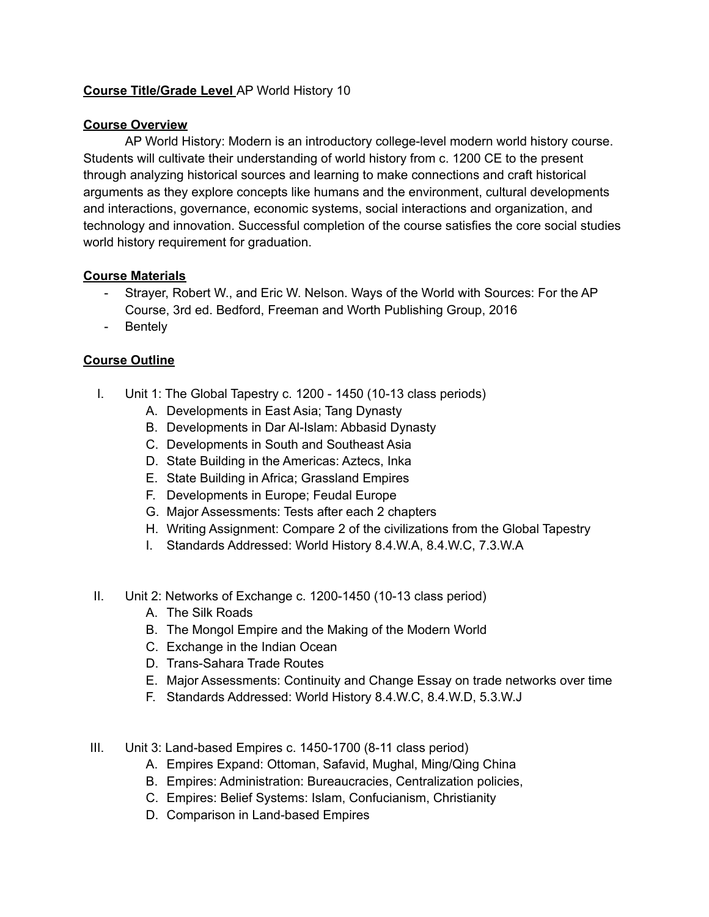## **Course Title/Grade Level** AP World History 10

## **Course Overview**

AP World History: Modern is an introductory college-level modern world history course. Students will cultivate their understanding of world history from c. 1200 CE to the present through analyzing historical sources and learning to make connections and craft historical arguments as they explore concepts like humans and the environment, cultural developments and interactions, governance, economic systems, social interactions and organization, and technology and innovation. Successful completion of the course satisfies the core social studies world history requirement for graduation.

## **Course Materials**

- Strayer, Robert W., and Eric W. Nelson. Ways of the World with Sources: For the AP Course, 3rd ed. Bedford, Freeman and Worth Publishing Group, 2016
- Bentely

## **Course Outline**

- I. Unit 1: The Global Tapestry c. 1200 1450 (10-13 class periods)
	- A. Developments in East Asia; Tang Dynasty
	- B. Developments in Dar Al-Islam: Abbasid Dynasty
	- C. Developments in South and Southeast Asia
	- D. State Building in the Americas: Aztecs, Inka
	- E. State Building in Africa; Grassland Empires
	- F. Developments in Europe; Feudal Europe
	- G. Major Assessments: Tests after each 2 chapters
	- H. Writing Assignment: Compare 2 of the civilizations from the Global Tapestry
	- I. Standards Addressed: World History 8.4.W.A, 8.4.W.C, 7.3.W.A
- II. Unit 2: Networks of Exchange c. 1200-1450 (10-13 class period)
	- A. The Silk Roads
	- B. The Mongol Empire and the Making of the Modern World
	- C. Exchange in the Indian Ocean
	- D. Trans-Sahara Trade Routes
	- E. Major Assessments: Continuity and Change Essay on trade networks over time
	- F. Standards Addressed: World History 8.4.W.C, 8.4.W.D, 5.3.W.J
- III. Unit 3: Land-based Empires c. 1450-1700 (8-11 class period)
	- A. Empires Expand: Ottoman, Safavid, Mughal, Ming/Qing China
	- B. Empires: Administration: Bureaucracies, Centralization policies,
	- C. Empires: Belief Systems: Islam, Confucianism, Christianity
	- D. Comparison in Land-based Empires